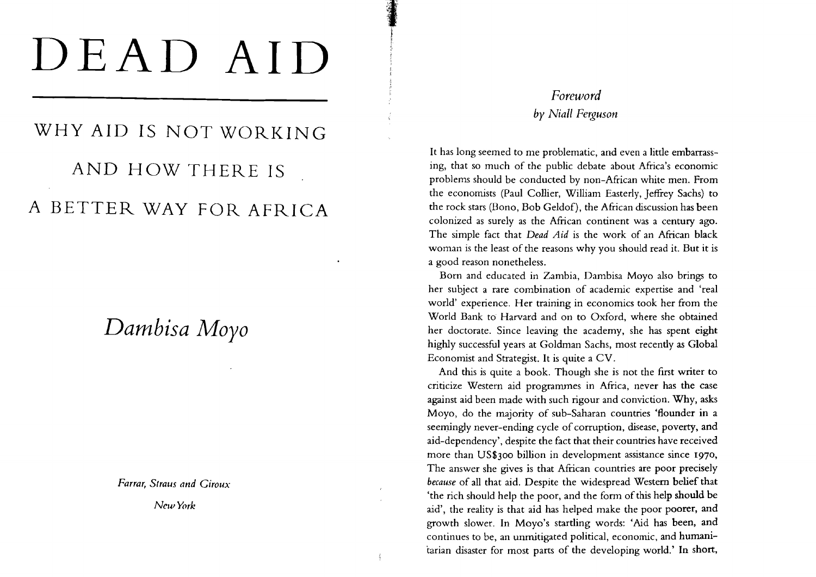# **DEAD AID**

## WHY AID IS NOT WORKING AND HOW THERE IS A BETTER WAY FOR AFRICA

## *Dambisa Moyo*

*Farrar, Straus and Giroux*

*New York*

## *Foreword by Niall Ferguson*

It has long seemed to me problematic, and even a little embarrassing, that so much of the public debate about Africa's economic problems should be conducted by non-African white men. From the economists (Paul Collier, William Easterly, Jeffrey Sachs) to the rock stars (Bono, Bob Geldof), the African discussion has been colonized as surely as the African continent was a century ago. The simple fact that *Dead Aid* is the work of an African black woman is the least of the reasons why you should read it. But it is a good reason nonetheless.

Born and educated in Zambia, Dambisa Moyo also brings to her subject a rare combination of academic expertise and 'real world' experience. Her training in economics took her from the World Bank to Harvard and on to Oxford, where she obtained her doctorate. Since leaving the academy, she has spent eight highly successful years at Goldman Sachs, most recently as Global Economist and Strategist. It is quite a CV.

And this is quite a book. Though she is not the first writer to criticize Western aid programmes in Africa, never has the case against aid been made with such rigour and conviction. Why, asks Moyo, do the majority of sub-Saharan countries 'flounder in a seemingly never-ending cycle of corruption, disease, poverty, and aid-dependency', despite the fact that their countries have received more than US\$300 billion in development assistance since 1970, The answer she gives is that African countries are poor precisely *because* of all that aid. Despite the Widespread Western belief that 'the rich should help the poor, and the form of this help should be aid', the reality is that aid has helped make the poor poorer, and growth slower. In Moyo's startling words: 'Aid has been, and continues to be, an unmitigated political, economic, and humanitarian disaster for most parts of the developing world.' In short,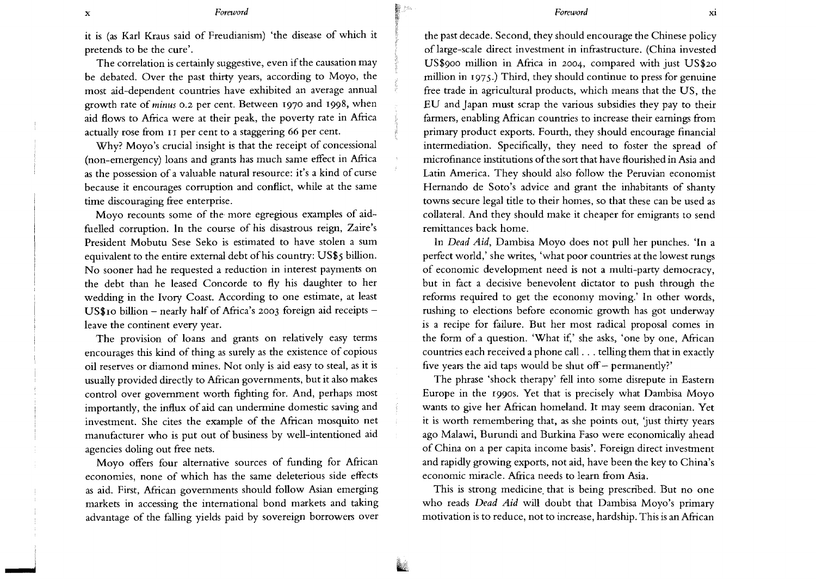it is (as Karl Kraus said of Freudianism) 'the disease of which it pretends to be the cure'.

The correlation is certainly suggestive, even if the causation may be debated. Over the past thirty years, according to Moyo, the most aid-dependent countries have exhibited an average annual growth rate of *minus* 0.2 per cent. Between 1970 and 1998, when aid flows to Africa were at their peak, the poverty rate in Africa actually rose from 11 per cent to a staggering 66 per cent.

Why? Moyo's crucial insight is that the receipt of concessional (non-emergency) loans and grants has much same effect in Mrica as the possession of a valuable natural resource: it's a kind of curse because it encourages corruption and conflict, while at the same time discouraging free enterprise.

Moyo recounts some of the- more egregious examples of aidfuelled corruption. In the course of his disastrous reign, Zaire's President Mobutu Sese Seko is estimated to have stolen a sum equivalent to the entire external debt of his country: US\$5 billion. No sooner had he requested a reduction in interest payments on the debt than he leased Concorde to fly his daughter to her wedding in the Ivory Coast. According to one estimate, at least US\$10 billion - nearly half of Africa's 2003 foreign aid receipts leave the continent every year.

The provision of loans and grants on relatively easy terms encourages this kind of thing as surely as the existence of copious oil reserves or diamond mines. Not only is aid easy to steal, as it is usually provided directly to African governments, but it also makes control over government worth fIghting for. And, perhaps most importantly, the influx of aid can undermine domestic saving and investment. She cites the example of the African mosquito net manufacturer who is put out of business by well-intentioned aid agencies doling out free nets.

Moyo offers four alternative sources of funding for African economies, none of which has the same deleterious side effects as aid. First, Mrican governments should follow Asian emerging markets in accessing the international bond markets and taking advantage of the falling yields paid by sovereign borrowers over

the past decade. Second, they should encourage the Chinese policy of large-scale direct investment in infrastructure. (China invested US\$900 million in Africa in 2004, compared with just US\$20 million in 1975.) Third, they should continue to press for genuine free trade in agricultural products, which means that the US, the EU and Japan must scrap the various subsidies they pay to their farmers, enabling African countries to increase their earnings from primary product exports. Fourth, they should encourage financial intermediation. Specifically, they need to foster the spread of microfinance institutions ofthe sort that have flourished in Asia and Latin America. They should also follow the Peruvian economist Hernando de Soto's advice and grant the inhabitants of shanty towns secure legal title to their homes, so that these can be used as collateral. And they should make it cheaper for emigrants to send remittances back home.

In *Dead Aid,* Dambisa Moyo does not pull her punches. 'In a perfect world,' she writes, 'what poor countries at the lowest rungs of economic development need is not a multi-party democracy, but in fact a decisive benevolent dictator to push through the reforms required to get the economy moving.' In other words, rushing to elections before economic growth has got underway is a recipe for failure. But her most radical proposal comes in the form of a question. 'What if,' she asks, 'one by one, African countries each received <sup>a</sup> phone call ... telling them that in exactly five years the aid taps would be shut off- permanently?'

The phrase 'shock therapy' fell into some disrepute in Eastern Europe in the 1990S. Yet that is precisely what Dambisa Moyo wants to give her African homeland. It may seem draconian. Yet it is worth remembering that, as she points out, 'just thirty years ago Malawi, Burundi and Burkina Faso were economically ahead of China on a per capita income basis'. Foreign direct investment and rapidly growing exports, not aid, have been the key to China's economic miracle. Africa needs to learn from Asia.

This is strong medicine that is being prescribed. But no one who reads *Dead Aid* will doubt that Dambisa Moyo's primary motivation is to reduce, not to increase, hardship. This is an African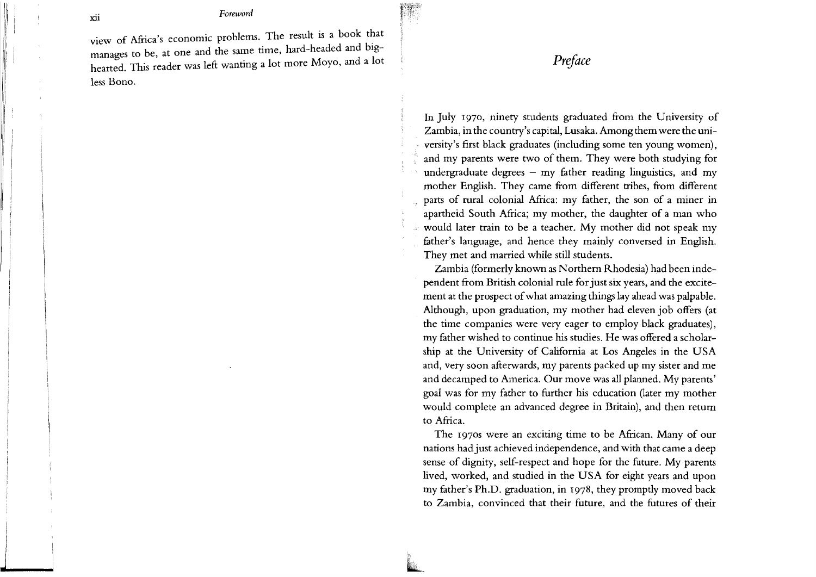#### xu *Foreword*

view of Africa's economic problems. The result is a book that manages to be, at one and the same time, hard-headed and bighearted. This reader was left wanting a lot more Moyo, and a lot less Bono.

## Preface

In July 1970, ninety students graduated from the University of Zambia, in the country's capital, Lusaka. Among themwere the university's first black graduates (including some ten young women), and my parents were two of them. They were both studying for undergraduate degrees  $-$  my father reading linguistics, and my mother English. They came from different tribes, from different parts of rural colonial Africa: my father, the son of a miner in apartheid South Africa; my mother, the daughter of a man who would later train to be a teacher. My mother did not speak my father's language, and hence they mainly conversed in English. They met and married while still students.

Zambia (formerly known as Northern Rhodesia) had been independent from British colonial rule for just six years, and the excitement at the prospect of what amazing things lay ahead was palpable. Although, upon graduation, my mother had eleven job offers (at the time companies were very eager to employ black graduates), my father wished to continue his studies. He was offered a scholarship at the University of California at Los Angeles in the USA and, very soon afterwards, my parents packed up my sister and me and decamped to America. Our move was all planned. My parents' goal was for my father to further his education (later my mother would complete an advanced degree in Britain), and then return to Africa.

The 1970s were an exciting time to be African. Many of our nations hadjust achieved independence, and with that came a deep sense of dignity, self-respect and hope for the future. My parents lived, worked, and studied in the USA for eight years and upon my father's Ph.D. graduation, in 1978, they promptly moved back to Zambia, convinced that their future, and the futures of their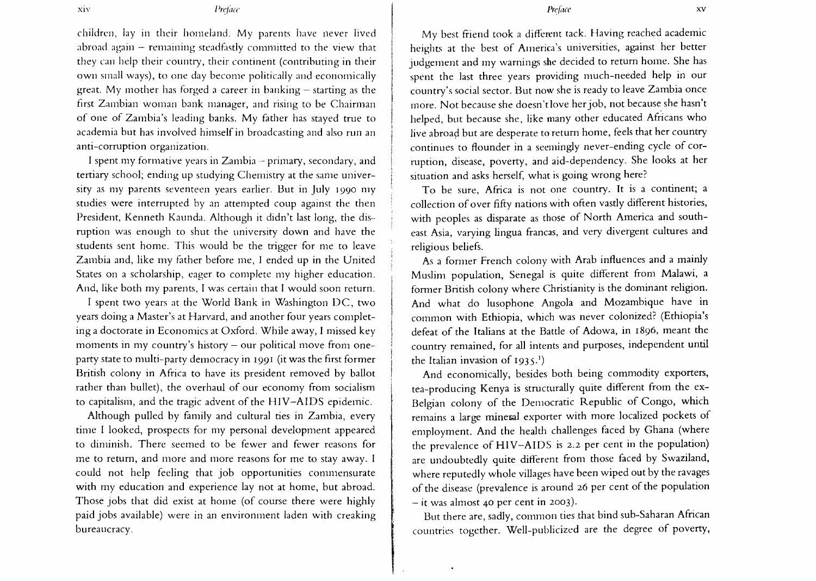Preface

Preface

children, lay in their homeland. My parents have never lived abroad again  $-$  remaining steadfastly committed to the view that they can help their country, their continent (contributing in their own small ways), to one day become politically and economically great. My mother has forged a career in banking  $-$  starting as the first Zambian woman bank manager, and rising to be Chairman of one of Zambia's leading banks. My father has stayed true to academia but has involved himself in broadcasting and also run an anti-corruption organization.

I spent my formative years in Zambia - primary, secondary, and tertiary school; ending up studying Chemistry at the same university as my parents seventeen years earlier. But in July 1990 my studies were interrupted by an attempted coup against the then President, Kenneth Kaunda. Although it didn't last long, the disruption was enough to shut the university down and have the students sent home. This would be the trigger for me to leave Zambia and, like my father before me, I ended up in the United States on a scholarship, eager to complete my higher education. And, like both my parents, I was certain that I would soon return.

I spent two years at the World Bank in Washington DC, two years doing a Master's at Harvard, and another four years completing a doctorate in Economics at Oxford. While away, I missed key moments in my country's history  $-$  our political move from oneparty state to multi-party democracy in 1991 (it was the first former British colony in Africa to have its president removed by ballot rather than bullet), the overhaul of our economy from socialism to capitalism, and the tragic advent of the HIV-AIDS epidemic.

Although pulled by family and cultural ties in Zambia, every time I looked, prospects for my personal development appeared to diminish. There seemed to be fewer and fewer reasons for me to return, and more and more reasons for me to stay away. I could not help feeling that job opportunities commensurate with my education and experience lay not at home, but abroad. Those jobs that did exist at home (of course there were highly paid jobs available) were in an environment laden with creaking bureaucracy.

My best friend took a different tack. Having reached academic heights at the best of America's universities, against her better judgement and my warnings she decided to return home. She has spent the last three years providing much-needed help in our country's social sector. But now she is ready to leave Zambia once more. Not because she doesn't love her job, not because she hasn't helped, but because she, like many other educated Africans who live abroad but are desperate to return home, feels that her country continues to flounder in a seemingly never-ending cycle of corruption, disease, poverty, and aid-dependency. She looks at her situation and asks herself, what is going wrong here?

To be sure, Africa is not one country. It is a continent; a collection of over fifty nations with often vastly different histories, with peoples as disparate as those of North America and southeast Asia, varying lingua francas, and very divergent cultures and religious beliefs.

As a former French colony with Arab influences and a mainly Muslim population, Senegal is quite different from Malawi, a fonner British colony where Christianity is the dominant religion. And what do lusophone Angola and Mozambique have in common with Ethiopia, which was never colonized? (Ethiopia's defeat of the Italians at the Battle of Adowa, in 1896, meant the country remained, for all intents and purposes, independent until the Italian invasion of 1935.<sup>1</sup>)

And economically, besides both being commodity exporters, tea-producing Kenya is structurally quite different from the ex-Belgian colony of the Democratic Republic of Congo, which remains a large mineral exporter with more localized pockets of employment. And the health challenges faced by Ghana (where the prevalence of HIV-AIDS is 2.2 per cent in the population) are undoubtedly quite different from those faced by Swaziland, where reputedly whole villages have been wiped out by the ravages of the disease (prevalence is around 26 per cent of the population  $-$  it was almost 40 per cent in 2003).

But there are, sadly, common ties that bind sub-Saharan African countries together. Well-publicized are the degree of poverty,

XIV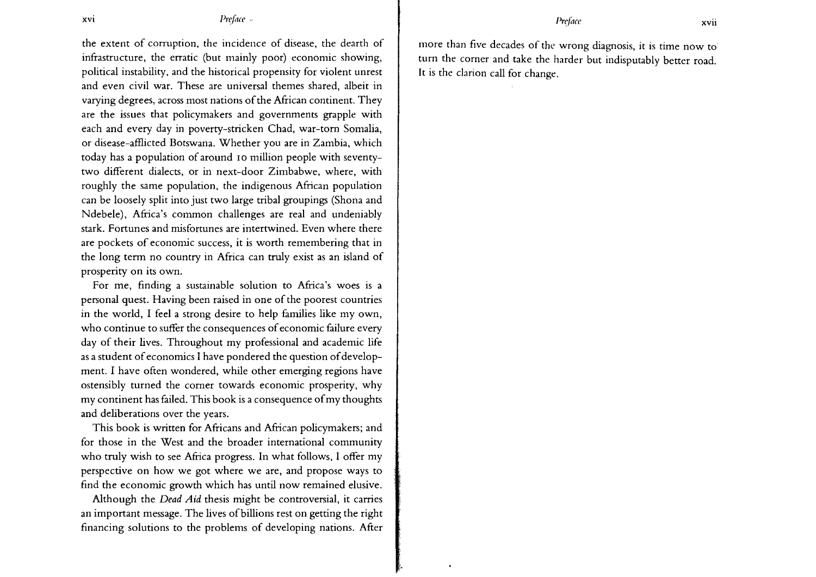the extent of corruption, the incidence of disease, the dearth of infrastructure, the erratic (but mainly poor) economic showing, political instability, and the historical propensity for violent unrest and even civil war. These are universal themes shared, albeit in varying degrees, across most nations of the African continent. They are the issues that policymakers and governments grapple with each and every day in poverty-stricken Chad, war-torn Somalia, or disease-afllicted Botswana. Whether you are in Zambia, which today has a population of around 10 million people with seventytwo different dialects, or in next-door Zimbabwe, where, with roughly the same population, the indigenous African population can be loosely split into just two large tribal groupings (Shona and Ndebele), Africa's common challenges are real and undeniably stark. Fortunes and misfortunes are intertwined. Even where there are pockets of economic success, it is worth remembering that in the long term no country in Africa can truly exist as an island of prosperity on its own.

For me, finding a sustainable solution to Mrica's woes is a personal quest. Having been raised in one of the poorest countries in the world, I feel a strong desire to help families like my own, who continue to suffer the consequences of economic failure every day of their lives. Throughout my professional and academic life as a student of economics I have pondered the question of development. I have often wondered, while other emerging regions have ostensibly turned the corner towards economic prosperity, why my continent has failed. This book is a consequence of my thoughts and deliberations over the years.

This book is written for Africans and African policymakers; and for those in the West and the broader international community who truly wish to see Africa progress. In what follows, I offer my perspective on how we got where we are, and propose ways to find the economic growth which has until now remained elusive.

Although the *Dead Aid* thesis might be controversial, it carnes an important message. The lives of billions rest on getting the right financing solutions to the problems of developing nations. After

more than five decades of the wrong diagnosis, it is time now to turn the corner and take the harder but indisputably better road. It is the clarion call for change.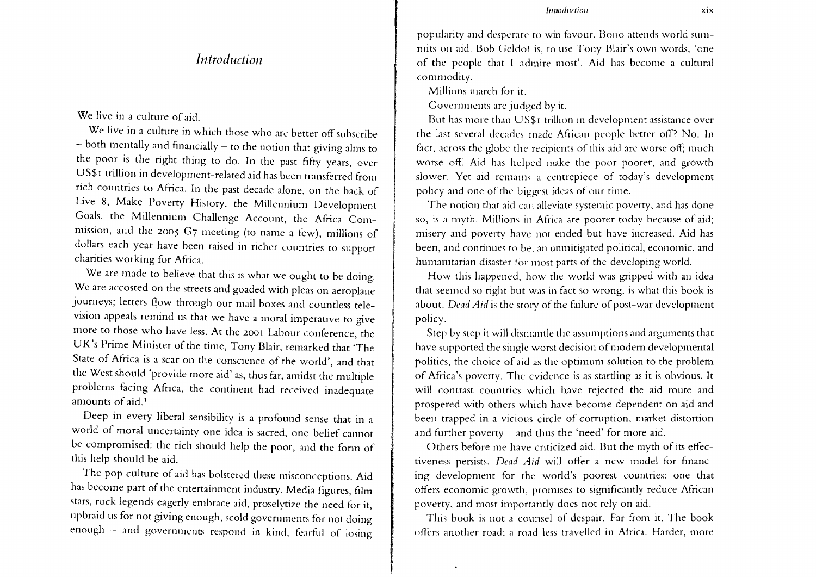$\frac{1}{\sqrt{2}}$   $\frac{1}{\sqrt{2}}$   $\frac{1}{\sqrt{2}}$   $\frac{1}{\sqrt{2}}$   $\frac{1}{\sqrt{2}}$   $\frac{1}{\sqrt{2}}$   $\frac{1}{\sqrt{2}}$   $\frac{1}{\sqrt{2}}$   $\frac{1}{\sqrt{2}}$   $\frac{1}{\sqrt{2}}$   $\frac{1}{\sqrt{2}}$   $\frac{1}{\sqrt{2}}$   $\frac{1}{\sqrt{2}}$   $\frac{1}{\sqrt{2}}$   $\frac{1}{\sqrt{2}}$   $\frac{1}{\sqrt{2}}$   $\frac{1}{\sqrt{2}}$ 

## *Introduction*

We live in a culture of aid.

We live in a culture in which those who are better off subscribe - both mentally and financially - to the notion that giving alms to the poor is the right thing to do. In the past fifty years, over US\$1 trillion in development-related aid has been transferred from rich countries to Africa. In the past decade alone, on the back of Live 8, Make Poverty History, the Millennium Development Goals, the Millennium Challenge Account, the Africa Commission, and the 2005 G7 meeting (to name a few), millions of dollars each year have been raised in richer countries to support charities working for Africa.

We are made to believe that this is what we ought to be doing. We are accosted on the streets and goaded with pleas on aeroplane journeys; letters flow through our mail boxes and countless television appeals remind us that we have a moral imperative to give more to those who have less. At the <sup>2001</sup> Labour conference, the UK's Prime Minister of the time, Tony Blair, remarked that 'The State of Africa is a scar on the conscience of the world', and that the West should 'provide more aid' as, thus far, amidst the multiple problems facing Africa, the continent had received inadequate amounts of aid.<sup>1</sup>

Deep in every liberal sensibility is a profound sense that in a world of moral uncertainty one idea is sacred, one belief cannot be compromised: the rich should help the poor, and the form of this help should be aid.

The pop culture of aid has bolstered these misconceptions. Aid has become part of the entertainment industry. Media figures, film stars, rock legends eagerly embrace aid, proselytize the need for it, upbraid us for not giving enough, scold governments for not doing enough - and governments respond in kind, fearful of losing

popularity and desperate to win favour. Bono attends world summits on aid. Bob Geldof is, to use Tony Blair's own words, 'one of the people that I admire most'. Aid has become a cultural commodity.

Millions march for it.

Governments are judged by it.

But has more than US\$1 trillion in development assistance over the last several decades made African people better off? No. In fact, across the globe the recipients of this aid are worse off; much worse off. Aid has helped make the poor poorer, and growth slower. Yet aid remains a centrepiece of today's development policy and one of the biggest ideas of our time.

The notion that aid can alleviate systemic poverty, and has done so, is a myth. Millions in Africa are poorer today because of aid; misery and poverty have not ended but have increased. Aid has been, and continues to be, an unmitigated political, economic, and humanitarian disaster for most parts of the developing world.

How this happened, how the world was gripped with an idea that seemed so right but was in fact so wrong, is what this book is about. *Dead Aid* is the story of the failure of post-war development policy.

Step by step it will dismantle the assumptions and arguments that have supported the single worst decision of modern developmental politics, the choice of aid as the optimum solution to the problem of Africa's poverty. The evidence is as startling as it is obvious. It will contrast countries which have rejected the aid route and prospered with others which have become dependent on aid and been trapped in a vicious circle of corruption, market distortion and further poverty  $-$  and thus the 'need' for more aid.

Others before me have criticized aid. But the myth of its effectiveness persists. *Dead Aid* will offer a new model for financing development for the world's poorest countries: one that offers economic growth, promises to significantly reduce African poverty, and most importantly does not rely on aid.

This book is not a counsel of despair. Far from it. The book offers another road; a road less travelled in Africa. Harder, more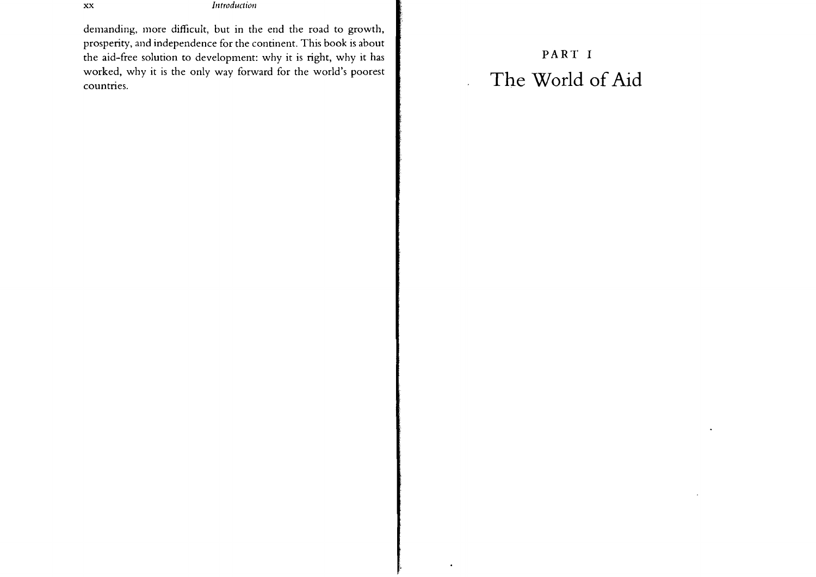demanding, more difficult, but in the end the road to growth, prosperity, and independence for the continent. This book is about the aid-free solution to development: why it is right, why it has worked, why it is the only way forward for the world's poorest countries.

## **PART I** The World of Aid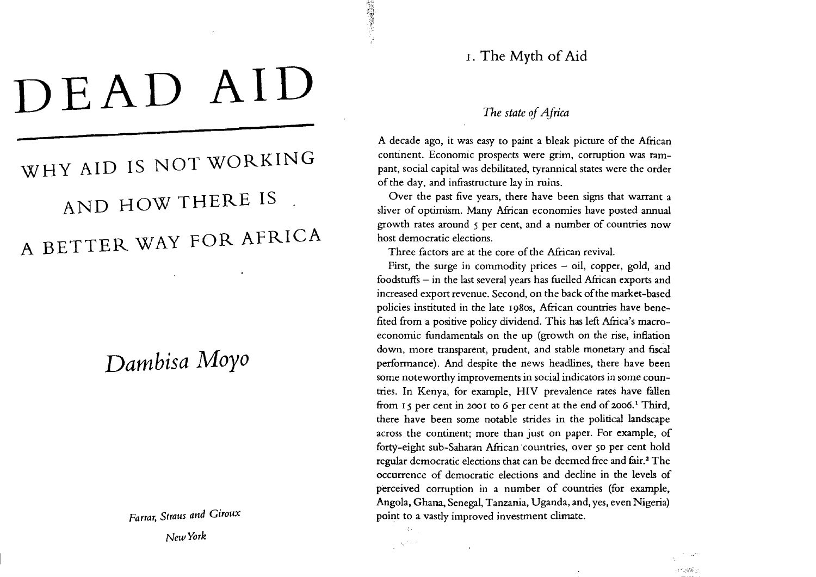## I. The Myth of Aid

"大地线线

# DEAD **AID**

## WHY AID IS NOT WORKING AND HOW THERE IS A BETTER WAY FOR AFRICA

*Dambisa Moyo*

*Farrar, Straus and Giroux*

*NewYork*

### *The state* of*Africa*

A decade ago, it was easy to paint a bleak picture of the African continent. Economic prospects were grim, corruption was rampant, social capital was debilitated, tyrannical states were the order of the day, and infrastructure lay in ruins.

Over the past five years, there have been signs that warrant a sliver of optimism. Many African economies have posted annual growth rates around 5 per cent, and a number of countries now host democratic elections.

Three factors are at the core of the African revival.

First, the surge in commodity prices  $-$  oil, copper, gold, and foodstuffs - in the last several years has fuelled Mrican exports and increased export revenue. Second, on the back of the market-based policies instituted in the late 1980s, African countries have benefited from a positive policy dividend. This has left Mrica's macroeconomic fundamentals on the up (growth on the rise, inflation down, more transparent, prudent, and stable monetary and fiscal perfonnance). And despite the news headlines, there have been some noteworthy improvements in social indicators in some countries. In Kenya, for example, HIV prevalence rates have fallen from  $15$  per cent in 2001 to 6 per cent at the end of 2006.<sup>1</sup> Third, there have been some notable strides in the political landscape across the continent; more than just on paper. For example, of forty-eight sub-Saharan African 'countries, over 50 per cent hold regular democratic elections that can be deemed free and fair. <sup>2</sup> The occurrence of democratic elections and decline in the levels of perceived corruption in a number of countries (for example, Angola, Ghana, Senegal, Tanzania, Uganda, and, yes, even Nigeria) point to a vastly improved investment climate.

 $\langle \cdot \rangle$  .  $\chi_{\rm g}^{-1}$  ,  $\sim$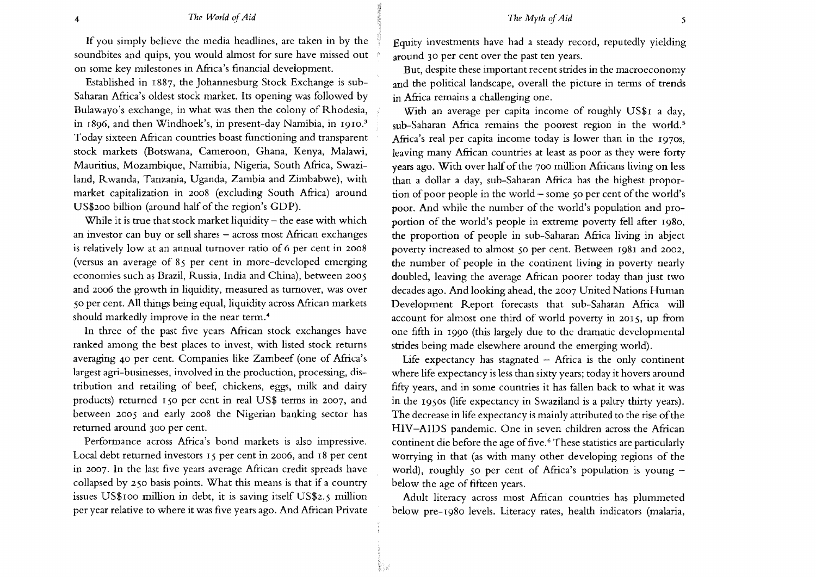### **4 The World** of Aid **5 The** *Myth* of Aid 5

If you simply believe the media headlines, are taken in by the soundbites and quips, you would almost for sure have missed out on some key milestones in Africa's financial development.

Established in 1887, the Johannesburg Stock Exchange is sub-Saharan Africa's oldest stock market. Its opening was followed by Bulawayo's exchange, in what was then the colony of Rhodesia, in 1896, and then Windhoek's, in present-day Namibia, in 1910.<sup>3</sup> Today sixteen African countries boast functioning and transparent stock markets (Botswana, Cameroon, Ghana, Kenya, Malawi, Mauritius, Mozambique, Namibia, Nigeria, South Africa, Swaziland, Rwanda, Tanzania, Uganda, Zambia and Zimbabwe), with market capitalization in 2008 (excluding South Africa) around US\$200 billion (around half of the region's GDP).

While it is true that stock market liquidity - the ease with which an investor can buy or sell shares - across most African exchanges is relatively low at an annual turnover ratio of 6 per cent in 2008 (versus an average of 85 per cent in more-developed emerging economies such as Brazil, Russia, India and China), between 2005 and 2006 the growth in liquidity, measured as turnover, was over 50 per cent. All things being equal, liquidity across African markets should markedly improve in the near term. <sup>4</sup>

In three of the past five years African stock exchanges have ranked among the best places to invest, with listed stock returns averaging 40 per cent. Companies like Zambeef (one of Africa's largest agri-businesses, involved in the production, processing, distribution and retailing of beef, chickens, eggs, milk and dairy products) returned 150 per cent in real US\$ terms in 2007, and between 2005 and early 2008 the Nigerian banking sector has returned around 300 per cent.

Performance across Africa's bond markets is also impressive. Local debt returned investors 15 per cent in 2006, and 18 per cent in 2007. In the last five years average African credit spreads have collapsed by 250 basis points. What this means is that if a country issues US\$100 million in debt, it is saving itself US\$2.5 million per year relative to where it was five years ago. And African Private Equity investments have had a steady record, reputedly yielding around 30 per cent over the past ten years.

But, despite these important recent strides in the macroeconomy and the political landscape, overall the picture in terms of trends in Africa remains a challenging one.

With an average per capita income of roughly US\$1 a day, sub-Saharan Africa remains the poorest region in the world.<sup>5</sup> Africa's real per capita income today is lower than in the 1970s, leaving many African countries at least as poor as they were forty years ago. With over half of the 700 million Africans living on less than a dollar a day, sub-Saharan Mrica has the highest proportion of poor people in the world  $-$  some 50 per cent of the world's *poor.* And while the number of the world's population and proportion of the world's people in extreme poverty fell after I980, the proportion of people in sub-Saharan Africa living in abject poverty increased to almost 50 per cent. Between 1981 and 2002, the number of people in the continent living in poverty nearly doubled, leaving the average African poorer today than just two decades ago. And looking ahead, the 2007 United Nations Human Development Report forecasts that sub-Saharan Africa will account for almost one third of world poverty in 2015, up from one fifth in 1990 (this largely due to the dramatic developmental strides being made elsewhere around the emerging world).

Life expectancy has stagnated  $-$  Africa is the only continent where life expectancy is less than sixty years; today it hovers around fifty years, and in some countries it has fallen back to what it was in the 1950S (life expectancy in Swaziland is a paltry thirty years). The decrease in life expectancy is mainly attributed to the rise of the HIV-AIDS pandemic. One in seven children across the African continent die before the age of five.<sup>6</sup> These statistics are particularly worrying in that (as with many other developing regions of the world), roughly 50 per cent of Africa's population is young below the age of fifteen years.

Adult literacy across most African countries has plummeted below pre-1980 levels. Literacy rates, health indicators (malaria,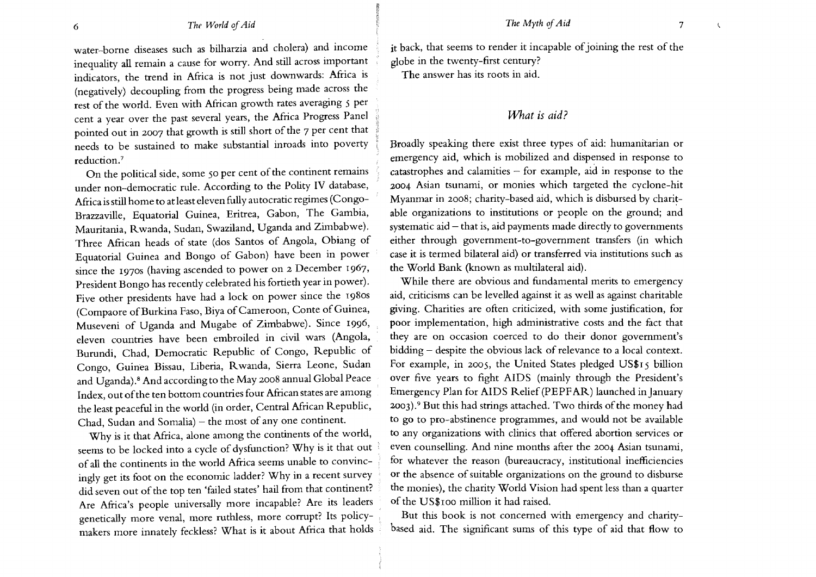water-borne diseases such as bilharzia and cholera) and income inequality all remain a cause for worry. And still across important indicators, the trend in Africa is not just downwards: Africa is (negatively) decoupling from the progress being made across the rest of the world. Even with African growth rates averaging 5 per cent a year over the past several years, the Africa Progress Panel pointed out in 2007 that growth is still short of the 7 per cent that needs to be sustained to make substantial inroads into poverty reduction.<sup>7</sup>

On the political side, some 50 per cent of the continent remains under non-democratic rule. According to the Polity IV database, Africa isstill home to at least eleven fully autocratic regimes (Congo-Brazzaville, Equatorial Guinea, Eritrea, Gabon, The Gambia, Mauritania, Rwanda, Sudan, Swaziland, Uganda and Zimbabwe). Three African heads of state (dos Santos of Angola, Obiang of Equatorial Guinea and Bongo of Gabon) have been in power since the 1970s (having ascended to power on 2 December 1967, President Bongo has recently celebrated his fortieth year in power). Five other presidents have had a lock on power since the 1980s (Compaore of Burkina Faso, Biya of Cameroon, Conte of Guinea, Museveni of Uganda and Mugabe of Zimbabwe). Since 1996, eleven countries have been embroiled in civil wars (Angola, Burundi, Chad, Democratic Republic of Congo, Republic of Congo, Guinea Bissau, Liberia, Rwanda, Sierra Leone, Sudan and Uganda).8 And according to the May 2008 annual Global Peace Index, out of the ten bottom countries four African states are among the least peaceful in the world (in order, Central African Republic, Chad, Sudan and Somalia) - the most of any one continent.

Why is it that Africa, alone among the continents of the world, seems to be locked into a cycle of dysfunction? Why is it that out of all the continents in the world Africa seems unable to convincingly get its foot on the economic ladder? Why in a recent survey did seven out of the top ten 'failed states' hail from that continent? Are Africa's people universally more incapable? Are its leaders genetically more venal, more ruthless, more corrupt? Its policymakers more innately feckless? What is it about Africa that holds it back, that seems to render it incapable of joining the rest of the globe in the twenty-first century?

The answer has its roots in aid.

#### *What is aid?*

Broadly speaking there exist three types of aid: humanitarian or emergency aid, which is mobilized and dispensed in response to  $catastrophes$  and  $cal$ alamities  $-$  for example, aid in response to the 2004 Asian tsunami, or monies which targeted the cyclone-hit Myanmar in 2008; charity-based aid, which is disbursed by charitable organizations to institutions or people on the ground; and  $systematic aid - that is, aid payments made directly to governments$ either through government-to-government transfers (in which case it is termed bilateral aid) or transferred via institutions such as the World Bank (known as multilateral aid).

While there are obvious and fundamental merits to emergency aid, criticisms can be levelled against it as well as against charitable giving. Charities are often criticized, with some justification, for poor implementation, high administrative costs and the fact that they are on occasion coerced to do their donor government's bidding - despite the obvious lack of relevance to a local context. For example, in 2005, the United States pledged US\$ $\tau$ 5 billion over five years to fight AIDS (mainly through the President's Emergency Plan for AIDS Relief(PEPFAR) launched in January 2003).<sup>9</sup> But this had strings attached. Two thirds of the money had to go to pro-abstinence programmes, and would not be available to any organizations with clinics that offered abortion services or even counselling. And nine months after the 2004 Asian tsunami, for whatever the reason (bureaucracy, institutional inefficiencies or the absence of suitable organizations on the ground to disburse the monies), the charity World Vision had spent less than a quarter of the US\$100 million it had raised.

But this book is not concerned with emergency and charitybased aid. The significant sums of this type of aid that flow to

 $\mathcal{L}$